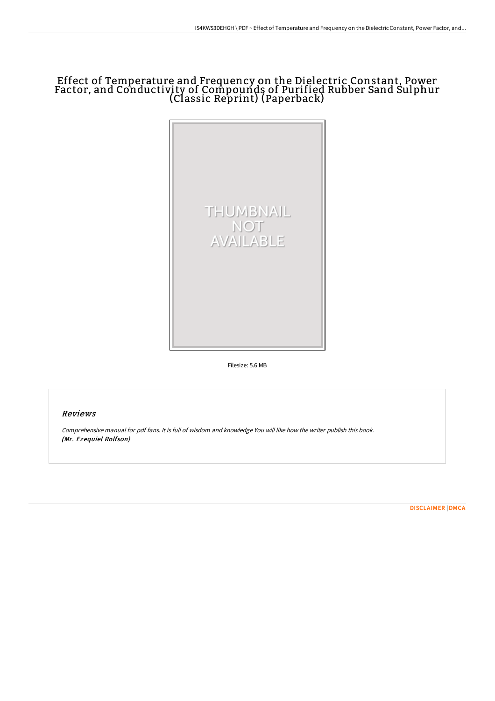# Effect of Temperature and Frequency on the Dielectric Constant, Power Factor, and Conductivity of Compounds of Purified Rubber Sand Sulphur (Classic Reprint) (Paperback)



Filesize: 5.6 MB

## Reviews

Comprehensive manual for pdf fans. It is full of wisdom and knowledge You will like how the writer publish this book. (Mr. Ezequiel Rolfson)

[DISCLAIMER](http://albedo.media/disclaimer.html) | [DMCA](http://albedo.media/dmca.html)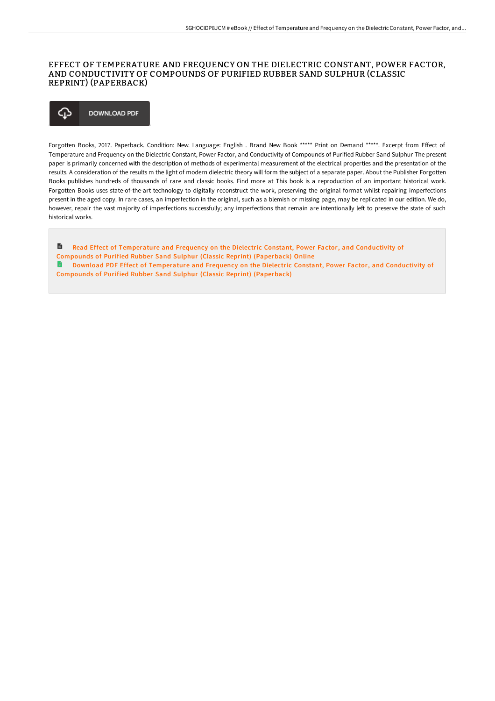### EFFECT OF TEMPERATURE AND FREQUENCY ON THE DIELECTRIC CONSTANT, POWER FACTOR, AND CONDUCTIVITY OF COMPOUNDS OF PURIFIED RUBBER SAND SULPHUR (CLASSIC REPRINT) (PAPERBACK)

#### ঞ **DOWNLOAD PDF**

Forgotten Books, 2017. Paperback. Condition: New. Language: English . Brand New Book \*\*\*\*\* Print on Demand \*\*\*\*\*. Excerpt from Effect of Temperature and Frequency on the Dielectric Constant, Power Factor, and Conductivity of Compounds of Purified Rubber Sand Sulphur The present paper is primarily concerned with the description of methods of experimental measurement of the electrical properties and the presentation of the results. A consideration of the results m the light of modern dielectric theory will form the subject of a separate paper. About the Publisher Forgotten Books publishes hundreds of thousands of rare and classic books. Find more at This book is a reproduction of an important historical work. Forgotten Books uses state-of-the-art technology to digitally reconstruct the work, preserving the original format whilst repairing imperfections present in the aged copy. In rare cases, an imperfection in the original, such as a blemish or missing page, may be replicated in our edition. We do, however, repair the vast majority of imperfections successfully; any imperfections that remain are intentionally left to preserve the state of such historical works.

E Read Effect of [Temperature](http://albedo.media/effect-of-temperature-and-frequency-on-the-diele.html) and Frequency on the Dielectric Constant, Power Factor, and Conductivity of Compounds of Purified Rubber Sand Sulphur (Classic Reprint) (Paperback) Online **A** Download PDF Effect of [Temperature](http://albedo.media/effect-of-temperature-and-frequency-on-the-diele.html) and Frequency on the Dielectric Constant, Power Factor, and Conductivity of Compounds of Purified Rubber Sand Sulphur (Classic Reprint) (Paperback)